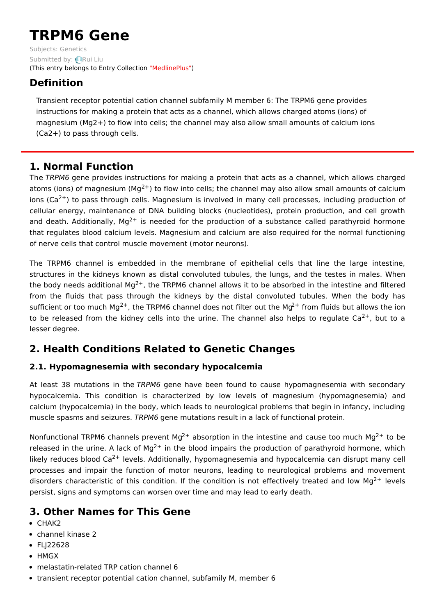# **TRPM6 Gene**

Subjects: [Genetics](https://encyclopedia.pub/item/subject/56) Submitted by: **[Rui](https://sciprofiles.com/profile/15629) Liu** (This entry belongs to Entry Collection ["MedlinePlus"](https://encyclopedia.pub/entry/collection/24))

## **Definition**

Transient receptor potential cation channel subfamily M member 6: The TRPM6 gene provides instructions for making a protein that acts as a channel, which allows charged atoms (ions) of magnesium (Mg2+) to flow into cells; the channel may also allow small amounts of calcium ions (Ca2+) to pass through cells.

## **1. Normal Function**

The TRPM6 gene provides instructions for making a protein that acts as a channel, which allows charged atoms (ions) of magnesium (Mg<sup>2+</sup>) to flow into cells; the channel may also allow small amounts of calcium ions (Ca<sup>2+</sup>) to pass through cells. Magnesium is involved in many cell processes, including production of cellular energy, maintenance of DNA building blocks (nucleotides), protein production, and cell growth and death. Additionally, Mg<sup>2+</sup> is needed for the production of a substance called parathyroid hormone that regulates blood calcium levels. Magnesium and calcium are also required for the normal functioning of nerve cells that control muscle movement (motor neurons).

The TRPM6 channel is embedded in the membrane of epithelial cells that line the large intestine, structures in the kidneys known as distal convoluted tubules, the lungs, and the testes in males. When the body needs additional Mg<sup>2+</sup>, the TRPM6 channel allows it to be absorbed in the intestine and filtered from the fluids that pass through the kidneys by the distal convoluted tubules. When the body has sufficient or too much Mg<sup>2+</sup>, the TRPM6 channel does not filter out the Mg<sup>2+</sup> from fluids but allows the ion to be released from the kidney cells into the urine. The channel also helps to regulate Ca<sup>2+</sup>, but to a lesser degree.

# **2. Health Conditions Related to Genetic Changes**

### **2.1. Hypomagnesemia with secondary hypocalcemia**

At least 38 mutations in the TRPM6 gene have been found to cause hypomagnesemia with secondary hypocalcemia. This condition is characterized by low levels of magnesium (hypomagnesemia) and calcium (hypocalcemia) in the body, which leads to neurological problems that begin in infancy, including muscle spasms and seizures. TRPM6 gene mutations result in a lack of functional protein.

Nonfunctional TRPM6 channels prevent Mg<sup>2+</sup> absorption in the intestine and cause too much Mg<sup>2+</sup> to be released in the urine. A lack of Mg<sup>2+</sup> in the blood impairs the production of parathyroid hormone, which likely reduces blood Ca<sup>2+</sup> levels. Additionally, hypomagnesemia and hypocalcemia can disrupt many cell processes and impair the function of motor neurons, leading to neurological problems and movement disorders characteristic of this condition. If the condition is not effectively treated and low Mg<sup>2+</sup> levels persist, signs and symptoms can worsen over time and may lead to early death.

# **3. Other Names for This Gene**

- CHAK2
- channel kinase 2
- FLI22628
- HMGX
- melastatin-related TRP cation channel 6
- transient receptor potential cation channel, subfamily M, member 6